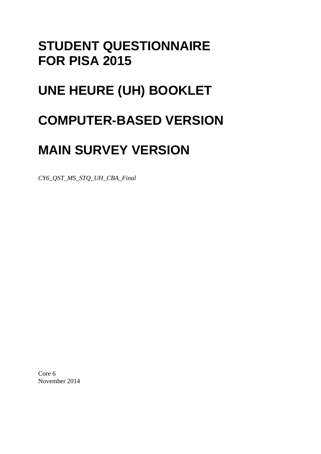# **STUDENT QUESTIONNAIRE FOR PISA 2015**

# **UNE HEURE (UH) BOOKLET**

# **COMPUTER-BASED VERSION**

# **MAIN SURVEY VERSION**

*CY6\_QST\_MS\_STQ\_UH\_CBA\_Final* 

Core 6 November 2014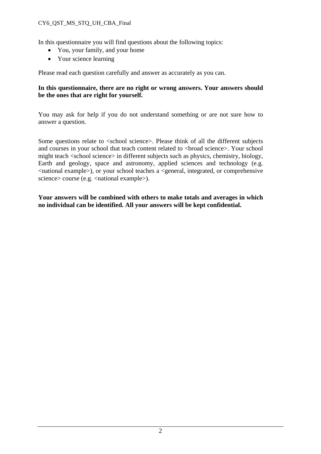#### CY6\_QST\_MS\_STQ\_UH\_CBA\_Final

In this questionnaire you will find questions about the following topics:

- You, your family, and your home
- Your science learning

Please read each question carefully and answer as accurately as you can.

#### **In this questionnaire, there are no right or wrong answers. Your answers should be the ones that are right for yourself.**

You may ask for help if you do not understand something or are not sure how to answer a question.

Some questions relate to <school science>. Please think of all the different subjects and courses in your school that teach content related to <br/>broad science>. Your school might teach <school science> in different subjects such as physics, chemistry, biology, Earth and geology, space and astronomy, applied sciences and technology (e.g. <national example>), or your school teaches a <general, integrated, or comprehensive science> course (e.g. <national example>).

**Your answers will be combined with others to make totals and averages in which no individual can be identified. All your answers will be kept confidential.**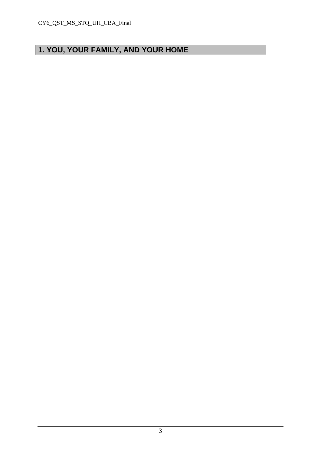# **1. YOU, YOUR FAMILY, AND YOUR HOME**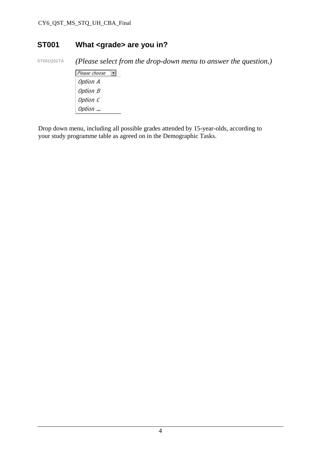### **ST001 What <grade> are you in?**

**ST001Q01TA** *(Please select from the drop-down menu to answer the question.)* 

 $P$ lease choose **Option A Option B** Option C Option ...

Drop down menu, including all possible grades attended by 15-year-olds, according to your study programme table as agreed on in the Demographic Tasks.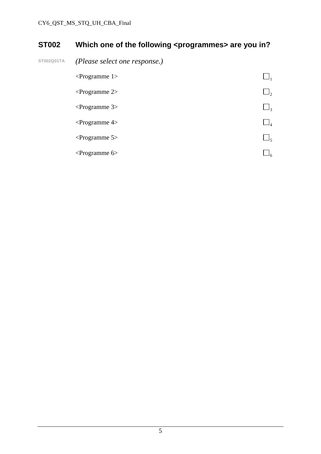## **ST002** Which one of the following <programmes> are you in?

**ST002Q01TA** *(Please select one response.)* 

| $\leq$ Programme 1> |                |
|---------------------|----------------|
| $\leq$ Programme 2> | $\mathsf{I}_2$ |
| $\leq$ Programme 3> | $\Box_3$       |
| $\leq$ Programme 4> | $\Box_4$       |
| $\leq$ Programme 5> | 5 ك            |
| $\leq$ Programme 6> |                |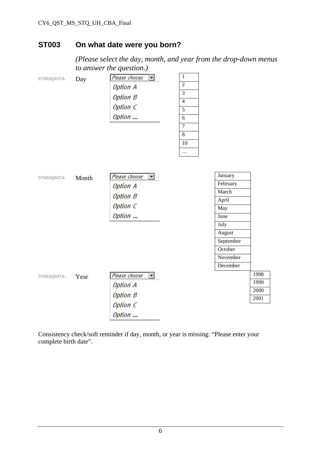#### **ST003 On what date were you born?**

 *(Please select the day, month, and year from the drop-down menus to answer the question.)* 

| ST003Q01TA | Day   | Please choose<br><b>Option A</b><br><b>Option B</b><br>Option C<br>Option | $\,1\,$<br>$\overline{2}$<br>$\overline{\mathbf{3}}$<br>$\overline{4}$<br>5<br>6<br>$\overline{7}$<br>8<br>10<br>$\cdots$ |                                                                                                |                              |
|------------|-------|---------------------------------------------------------------------------|---------------------------------------------------------------------------------------------------------------------------|------------------------------------------------------------------------------------------------|------------------------------|
| ST003Q02TA | Month | Please choose<br><b>Option A</b><br><b>Option B</b><br>Option C<br>Option |                                                                                                                           | January<br>February<br>March<br>April<br>May<br>June<br>July<br>August<br>September<br>October |                              |
|            |       |                                                                           |                                                                                                                           | November<br>December                                                                           |                              |
| ST003Q03TA | Year  | Please choose<br><b>Option A</b><br><b>Option B</b><br>Option C<br>Option |                                                                                                                           |                                                                                                | 1998<br>1999<br>2000<br>2001 |

Consistency check/soft reminder if day, month, or year is missing: "Please enter your complete birth date".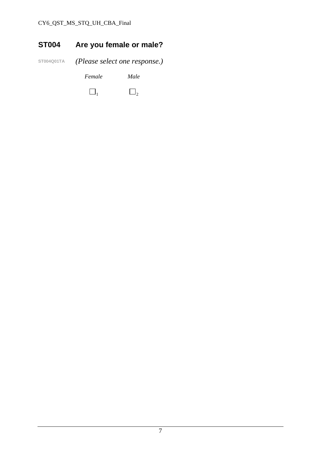# **ST004 Are you female or male?**

**ST004Q01TA** *(Please select one response.) Female Male* 

 $\Box_1$   $\Box_2$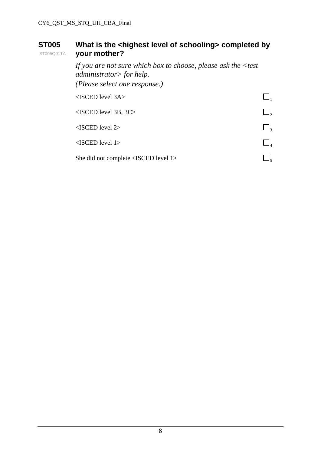#### **ST005**  ST005Q01TA What is the <highest level of schooling> completed by **your mother?**

 *If you are not sure which box to choose, please ask the <test administrator> for help. (Please select one response.)*   $\triangle$ ISCED level 3A $>$  $\triangle$ ISCED level 3B, 3C>  $\Box$ <sub>2</sub>  $\triangle$ ISCED level 2>  $\Box$ <sub>3</sub>  $\leq$ ISCED level 1>  $\Box$ <sub>4</sub> She did not complete <ISCED level 1>  $\Box$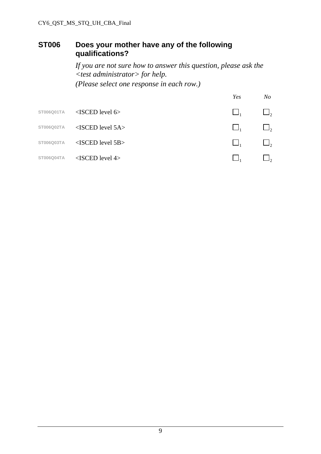#### **ST006 Does your mother have any of the following qualifications?**

 *If you are not sure how to answer this question, please ask the <test administrator> for help. (Please select one response in each row.)* 

|            |                        | Yes | N o      |
|------------|------------------------|-----|----------|
| ST006Q01TA | $<$ ISCED level 6>     |     | $\Box$ , |
| ST006Q02TA | $<$ ISCED level 5A $>$ |     | $\Box$ , |
| ST006Q03TA | $<$ ISCED level 5B $>$ |     | $\Box$   |
| ST006Q04TA | $<$ ISCED level 4>     |     |          |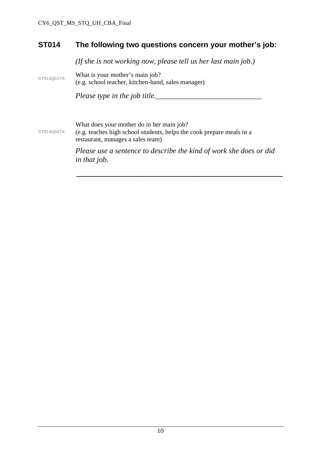#### **ST014 The following two questions concern your mother's job:**

 *(If she is not working now, please tell us her last main job.)* 

ST014Q01TA **What is your mother's main job?** (e.g. school teacher, kitchen-hand, sales manager)

*Please type in the job title.\_\_\_\_\_\_\_\_\_\_\_\_\_\_\_\_\_\_\_\_\_\_\_\_\_\_\_\_* 

What does your mother do in her main job?

**ST014Q02TA**  (e.g. teaches high school students, helps the cook prepare meals in a restaurant, manages a sales team)

> *Please use a sentence to describe the kind of work she does or did in that job.*

\_\_\_\_\_\_\_\_\_\_\_\_\_\_\_\_\_\_\_\_\_\_\_\_\_\_\_\_\_\_\_\_\_\_\_\_\_\_\_\_\_\_\_\_\_\_\_\_\_\_\_\_\_\_\_\_\_\_\_\_\_\_\_\_\_\_\_\_\_\_\_\_\_\_\_\_\_\_\_\_\_\_\_\_\_\_\_\_\_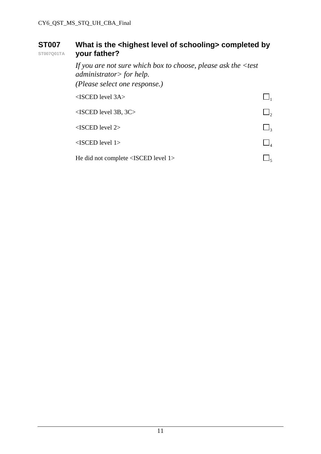#### **ST007 ST007Q01TA** What is the <highest level of schooling> completed by **your father?**

 *If you are not sure which box to choose, please ask the <test administrator> for help. (Please select one response.)*   $\triangle$ ISCED level 3A $>$  $\triangle$ ISCED level 3B, 3C>  $\Box$ <sub>2</sub>  $\triangle$ ISCED level 2>  $\Box$ <sub>3</sub>  $\leq$ ISCED level 1>  $\Box$ <sub>4</sub> He did not complete <ISCED level 1>  $\Box$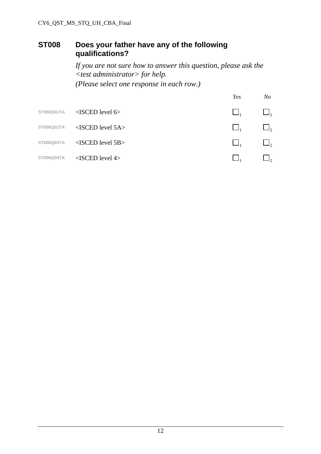#### **ST008 Does your father have any of the following qualifications?**

 *If you are not sure how to answer this question, please ask the <test administrator> for help. (Please select one response in each row.)* 

|            |                        | Yes | No                  |
|------------|------------------------|-----|---------------------|
| ST008Q01TA | $\leq$ ISCED level 6>  |     | $\Box$ ,            |
| ST008Q02TA | $<$ ISCED level 5A $>$ |     | $\Box$ ,            |
| ST008Q03TA | $<$ ISCED level 5B $>$ |     | $\Box$ <sub>2</sub> |
| ST008Q04TA | $<$ ISCED level 4>     |     | $J_{2}$             |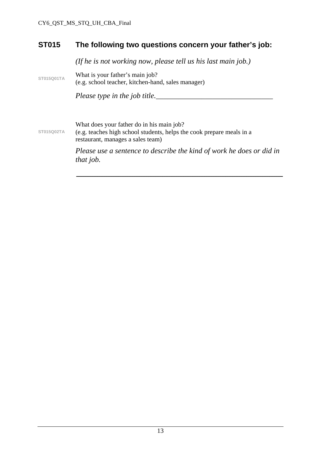#### **ST015 The following two questions concern your father's job:**

*(If he is not working now, please tell us his last main job.)* 

**ST015Q01TA** What is your father's main job? (e.g. school teacher, kitchen-hand, sales manager)

*Please type in the job title.\_\_\_\_\_\_\_\_\_\_\_\_\_\_\_\_\_\_\_\_\_\_\_\_\_\_\_\_\_\_\_* 

What does your father do in his main job?

**ST015Q02TA**  (e.g. teaches high school students, helps the cook prepare meals in a restaurant, manages a sales team)

> *Please use a sentence to describe the kind of work he does or did in that job.*

\_\_\_\_\_\_\_\_\_\_\_\_\_\_\_\_\_\_\_\_\_\_\_\_\_\_\_\_\_\_\_\_\_\_\_\_\_\_\_\_\_\_\_\_\_\_\_\_\_\_\_\_\_\_\_\_\_\_\_\_\_\_\_\_\_\_\_\_\_\_\_\_\_\_\_\_\_\_\_\_\_\_\_\_\_\_\_\_\_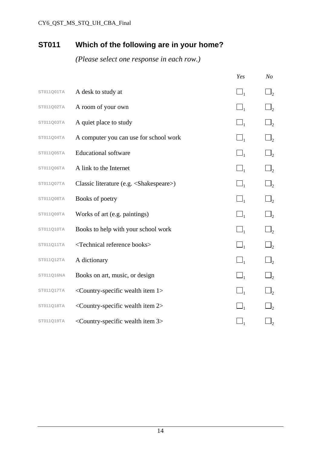## **ST011 Which of the following are in your home?**

|            |                                                              | Yes            | N <sub>O</sub> |
|------------|--------------------------------------------------------------|----------------|----------------|
| ST011Q01TA | A desk to study at                                           | $\square_{_1}$ | $\Box_2$       |
| ST011Q02TA | A room of your own                                           | $\Box_1$       | $\Box$         |
| ST011Q03TA | A quiet place to study                                       | $\square_{1}$  | $\Box_2$       |
| ST011Q04TA | A computer you can use for school work                       | $\Box_1$       | $\Box_2$       |
| ST011Q05TA | <b>Educational software</b>                                  | $\Box_1$       | $\sqcup_2$     |
| ST011Q06TA | A link to the Internet                                       | $\square_{1}$  | $\Box_2$       |
| ST011Q07TA | Classic literature (e.g. <shakespeare>)</shakespeare>        | $\square_{1}$  | $\Box$         |
| ST011Q08TA | Books of poetry                                              | $\Box_1$       | $\Box_2$       |
| ST011Q09TA | Works of art (e.g. paintings)                                | $\Box_1$       | $\Box$         |
| ST011Q10TA | Books to help with your school work                          | $\Box_1$       | $\Box_2$       |
| ST011Q11TA | <technical books="" reference=""></technical>                | $\square_1$    | $\Box$         |
| ST011Q12TA | A dictionary                                                 | $\Box_1$       | $\Box$         |
| ST011Q16NA | Books on art, music, or design                               | $\Box_1$       | $\Box$         |
| ST011Q17TA | <country-specific 1="" item="" wealth=""></country-specific> | $\square_1$    | $\Box$         |
| ST011Q18TA | <country-specific 2="" item="" wealth=""></country-specific> |                | $\Box_2$       |
| ST011Q19TA | <country-specific 3="" item="" wealth=""></country-specific> |                | $\sqcup_2$     |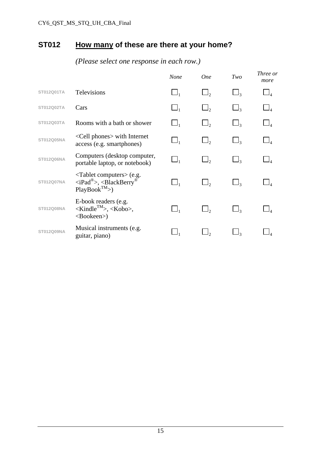## **ST012 How many of these are there at your home?**

|            |                                                                                                                                        | <b>None</b> | <b>One</b> | Two                 | Three or<br>more |
|------------|----------------------------------------------------------------------------------------------------------------------------------------|-------------|------------|---------------------|------------------|
| ST012Q01TA | <b>Televisions</b>                                                                                                                     | $\Box_1$    | $\Box$ ,   | $\Box_{3}$          |                  |
| ST012Q02TA | Cars                                                                                                                                   | $\Box_1$    | $\Box$     | $\Box$ 3            |                  |
| ST012Q03TA | Rooms with a bath or shower                                                                                                            | $\Box_1$    | $\Box_2$   | $\Box_{3}$          |                  |
| ST012Q05NA | <cell phones=""> with Internet<br/>access (e.g. smartphones)</cell>                                                                    |             |            | $\Box$ 3            |                  |
| ST012Q06NA | Computers (desktop computer,<br>portable laptop, or notebook)                                                                          |             | $\Box$     | $\Box$ 3            |                  |
| ST012Q07NA | <tablet computers=""> (e.g.<br/><math>\langle</math>iPad®&gt;, <math>\langle</math>BlackBerry®<br/><math>PlayBook^{TM}</math></tablet> | $\Box_1$    |            | $\Box$ <sub>3</sub> |                  |
| ST012Q08NA | E-book readers (e.g.<br>$\langle$ Kindle <sup>TM</sup> >, $\langle$ Kobo>,<br><bookeen>)</bookeen>                                     | $\Box_1$    |            | $\Box$ 3            |                  |
| ST012Q09NA | Musical instruments (e.g.<br>guitar, piano)                                                                                            |             |            |                     |                  |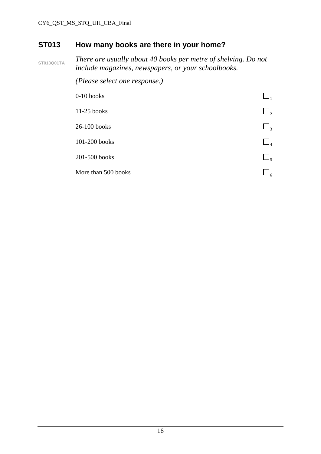### **ST013 How many books are there in your home?**

**ST013Q01TA** *There are usually about 40 books per metre of shelving. Do not include magazines, newspapers, or your schoolbooks.* 

 *(Please select one response.)* 

| $0-10$ books        |          |
|---------------------|----------|
| 11-25 books         | $\Box_2$ |
| $26-100$ books      | $\Box_3$ |
| 101-200 books       | $\Box_4$ |
| 201-500 books       | $\Box_5$ |
| More than 500 books | ۹۶       |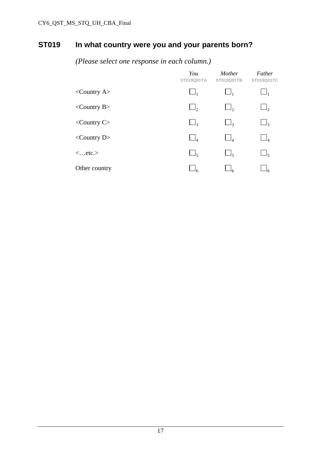## **ST019 In what country were you and your parents born?**

|                               | You<br>ST019Q01TA | Mother<br>ST019Q01TB | Father<br>ST019Q01TC |
|-------------------------------|-------------------|----------------------|----------------------|
| $\langle$ Country A $\rangle$ | $\Box_1$          | $\mathsf{L}$         | $\Box_1$             |
| $\langle$ Country B $>$       | $\Box$ ,          | $\Box$ ,             | $\Box_2$             |
| $\langle$ Country C $>$       | $\Box_3$          | $\Box$ 3             | $\Box_3$             |
| $\langle$ Country D $>$       | $\Box_4$          | $\Box_4$             | $\Box_4$             |
| $\langle$ etc. $>$            | $\Box_5$          | $\Box_{5}$           | $\Box_5$             |
| Other country                 | $\Box_6$          |                      |                      |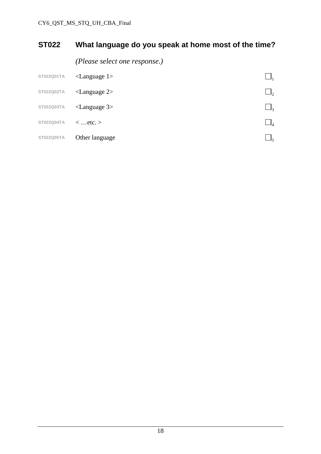# **ST022 What language do you speak at home most of the time?**

*(Please select one response.)* 

| ST022Q01TA | $\langle$ Language 1>    |    |
|------------|--------------------------|----|
| ST022Q02TA | $\langle$ Language 2>    | 12 |
| ST022Q03TA | $\langle$ Language 3 $>$ | ┙╕ |
| ST022Q04TA | $\langle$ etc. $>$       | J4 |
| ST022Q05TA | Other language           | Jς |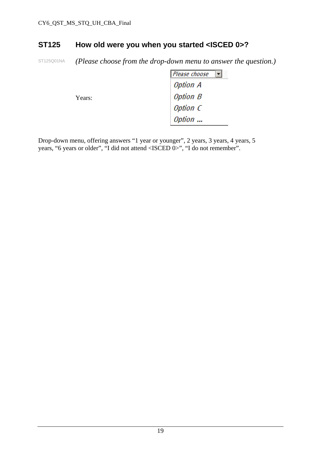#### **ST125 How old were you when you started <ISCED 0>?**

ST125Q01NA *(Please choose from the drop-down menu to answer the question.)* 

|        | Please choose<br><b>ISSN</b> |
|--------|------------------------------|
|        | <b>Option A</b>              |
| Years: | <b>Option B</b>              |
|        | Option C                     |
|        | Option                       |

Drop-down menu, offering answers "1 year or younger", 2 years, 3 years, 4 years, 5 years, "6 years or older", "I did not attend <ISCED 0>", "I do not remember".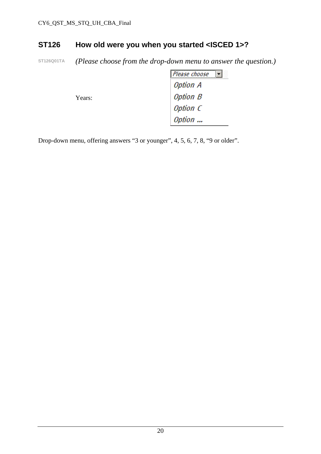#### **ST126 How old were you when you started <ISCED 1>?**

**ST126Q01TA** *(Please choose from the drop-down menu to answer the question.)* 

|        | Please choose   |
|--------|-----------------|
|        | Option A        |
| Years: | <b>Option B</b> |
|        | Option C        |
|        | Option          |

Drop-down menu, offering answers "3 or younger", 4, 5, 6, 7, 8, "9 or older".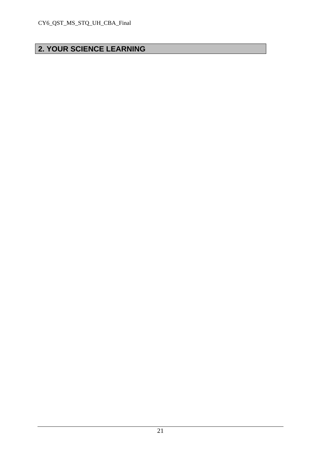# **2. YOUR SCIENCE LEARNING**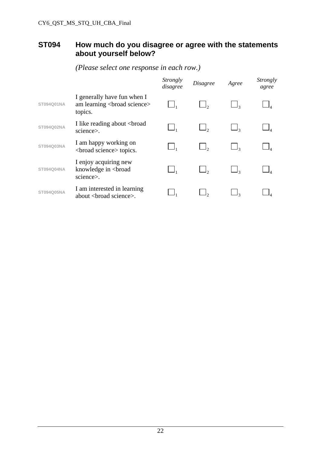#### **ST094 How much do you disagree or agree with the statements about yourself below?**

|            |                                                                                                                                                                                                                                                      | Strongly<br>disagree | <i>Disagree</i> | Agree | <i>Strongly</i><br>agree |
|------------|------------------------------------------------------------------------------------------------------------------------------------------------------------------------------------------------------------------------------------------------------|----------------------|-----------------|-------|--------------------------|
| ST094Q01NA | I generally have fun when I<br>am learning<br>broad science><br>topics.                                                                                                                                                                              |                      |                 |       |                          |
| ST094Q02NA | I like reading about<br>broad<br>science>.                                                                                                                                                                                                           |                      |                 |       |                          |
| ST094Q03NA | I am happy working on<br><br>solution of solutions of the set of the set of the set of the set of the set of the set of the set of the set of the set of the set of the set of the set of the set of the set of the set of the set of the set of the |                      |                 |       |                          |
| ST094Q04NA | I enjoy acquiring new<br>knowledge in<br>broad<br>science>.                                                                                                                                                                                          |                      |                 |       |                          |
| ST094Q05NA | I am interested in learning<br>about<br>coad science>.                                                                                                                                                                                               |                      |                 |       |                          |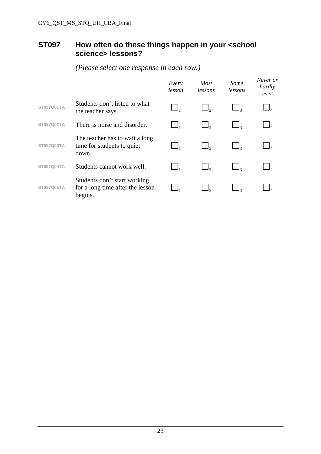#### **ST097 How often do these things happen in your <school science> lessons?**

|                   |                                                                             | Every<br>lesson | <b>Most</b><br>lessons | Some<br>lessons | Never or<br>hardly<br>ever |
|-------------------|-----------------------------------------------------------------------------|-----------------|------------------------|-----------------|----------------------------|
| ST097Q01TA        | Students don't listen to what<br>the teacher says.                          |                 |                        |                 |                            |
| <b>ST097Q02TA</b> | There is noise and disorder.                                                |                 |                        |                 |                            |
| ST097Q03TA        | The teacher has to wait a long<br>time for students to quiet<br>down.       |                 |                        |                 |                            |
| ST097Q04TA        | Students cannot work well.                                                  | $\Box$          |                        |                 |                            |
| <b>ST097Q05TA</b> | Students don't start working<br>for a long time after the lesson<br>begins. |                 |                        |                 |                            |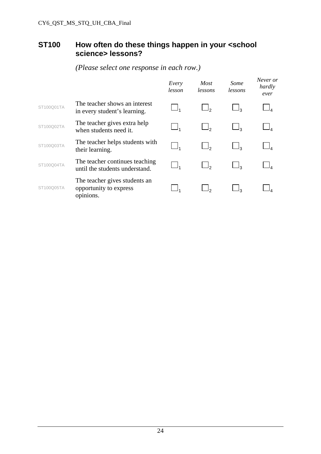#### **ST100 How often do these things happen in your <school science> lessons?**

|            |                                                                      | Every<br>lesson | Most<br>lessons | Some<br>lessons | Never or<br>hardly<br>ever |
|------------|----------------------------------------------------------------------|-----------------|-----------------|-----------------|----------------------------|
| ST100Q01TA | The teacher shows an interest<br>in every student's learning.        |                 |                 | ף נ             |                            |
| ST100Q02TA | The teacher gives extra help<br>when students need it.               |                 |                 | ج ل             |                            |
| ST100Q03TA | The teacher helps students with<br>their learning.                   |                 |                 | ج ا__           |                            |
| ST100Q04TA | The teacher continues teaching<br>until the students understand.     |                 |                 | ډل              |                            |
| ST100Q05TA | The teacher gives students an<br>opportunity to express<br>opinions. |                 |                 |                 |                            |